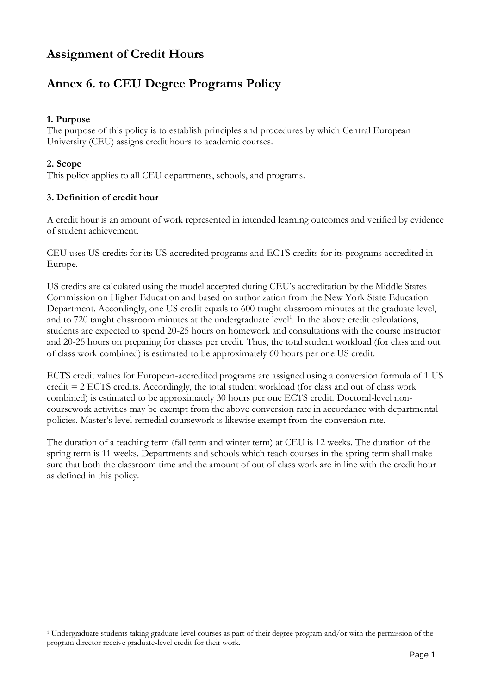# **Assignment of Credit Hours**

# **Annex 6. to CEU Degree Programs Policy**

## **1. Purpose**

The purpose of this policy is to establish principles and procedures by which Central European University (CEU) assigns credit hours to academic courses.

## **2. Scope**

This policy applies to all CEU departments, schools, and programs.

## **3. Definition of credit hour**

A credit hour is an amount of work represented in intended learning outcomes and verified by evidence of student achievement.

CEU uses US credits for its US-accredited programs and ECTS credits for its programs accredited in Europe.

US credits are calculated using the model accepted during CEU's accreditation by the Middle States Commission on Higher Education and based on authorization from the New York State Education Department. Accordingly, one US credit equals to 600 taught classroom minutes at the graduate level, and to 720 taught classroom minutes at the undergraduate level<sup>1</sup>. In the above credit calculations, students are expected to spend 20-25 hours on homework and consultations with the course instructor and 20-25 hours on preparing for classes per credit. Thus, the total student workload (for class and out of class work combined) is estimated to be approximately 60 hours per one US credit.

ECTS credit values for European-accredited programs are assigned using a conversion formula of 1 US credit = 2 ECTS credits. Accordingly, the total student workload (for class and out of class work combined) is estimated to be approximately 30 hours per one ECTS credit. Doctoral-level noncoursework activities may be exempt from the above conversion rate in accordance with departmental policies. Master's level remedial coursework is likewise exempt from the conversion rate.

The duration of a teaching term (fall term and winter term) at CEU is 12 weeks. The duration of the spring term is 11 weeks. Departments and schools which teach courses in the spring term shall make sure that both the classroom time and the amount of out of class work are in line with the credit hour as defined in this policy.

<sup>1</sup> Undergraduate students taking graduate-level courses as part of their degree program and/or with the permission of the program director receive graduate-level credit for their work.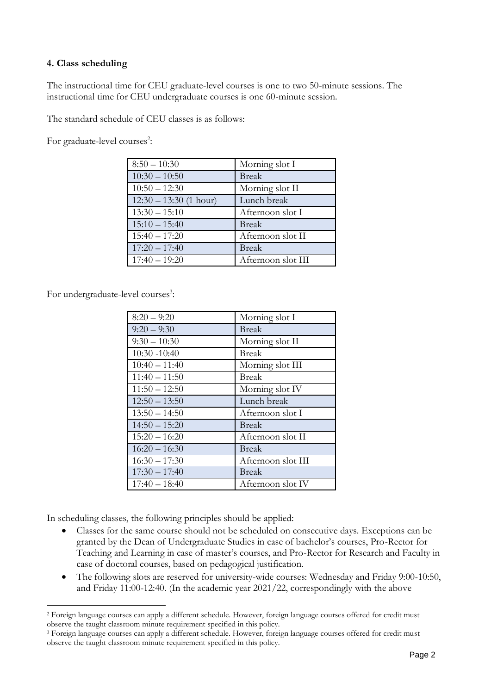#### **4. Class scheduling**

The instructional time for CEU graduate-level courses is one to two 50-minute sessions. The instructional time for CEU undergraduate courses is one 60-minute session.

The standard schedule of CEU classes is as follows:

For graduate-level courses<sup>2</sup>:

| $8:50 - 10:30$           | Morning slot I     |
|--------------------------|--------------------|
| $10:30 - 10:50$          | <b>Break</b>       |
| $10:50 - 12:30$          | Morning slot II    |
| $12:30 - 13:30$ (1 hour) | Lunch break        |
| $13:30 - 15:10$          | Afternoon slot I   |
| $15:10 - 15:40$          | <b>Break</b>       |
| $15:40 - 17:20$          | Afternoon slot II  |
| $17:20 - 17:40$          | <b>Break</b>       |
| $17:40 - 19:20$          | Afternoon slot III |

For undergraduate-level courses<sup>3</sup>:

| $8:20 - 9:20$   | Morning slot I     |
|-----------------|--------------------|
| $9:20 - 9:30$   | <b>Break</b>       |
| $9:30 - 10:30$  | Morning slot II    |
| $10:30 - 10:40$ | <b>Break</b>       |
| $10:40 - 11:40$ | Morning slot III   |
| $11:40 - 11:50$ | <b>Break</b>       |
| $11:50 - 12:50$ | Morning slot IV    |
| $12:50 - 13:50$ | Lunch break        |
| $13:50 - 14:50$ | Afternoon slot I   |
| $14:50 - 15:20$ | <b>Break</b>       |
| $15:20 - 16:20$ | Afternoon slot II  |
| $16:20 - 16:30$ | <b>Break</b>       |
| $16:30 - 17:30$ | Afternoon slot III |
| $17:30 - 17:40$ | <b>Break</b>       |
| $17:40 - 18:40$ | Afternoon slot IV  |

In scheduling classes, the following principles should be applied:

- Classes for the same course should not be scheduled on consecutive days. Exceptions can be granted by the Dean of Undergraduate Studies in case of bachelor's courses, Pro-Rector for Teaching and Learning in case of master's courses, and Pro-Rector for Research and Faculty in case of doctoral courses, based on pedagogical justification.
- The following slots are reserved for university-wide courses: Wednesday and Friday 9:00-10:50, and Friday 11:00-12:40. (In the academic year 2021/22, correspondingly with the above

<sup>2</sup> Foreign language courses can apply a different schedule. However, foreign language courses offered for credit must observe the taught classroom minute requirement specified in this policy.

<sup>3</sup> Foreign language courses can apply a different schedule. However, foreign language courses offered for credit must observe the taught classroom minute requirement specified in this policy.